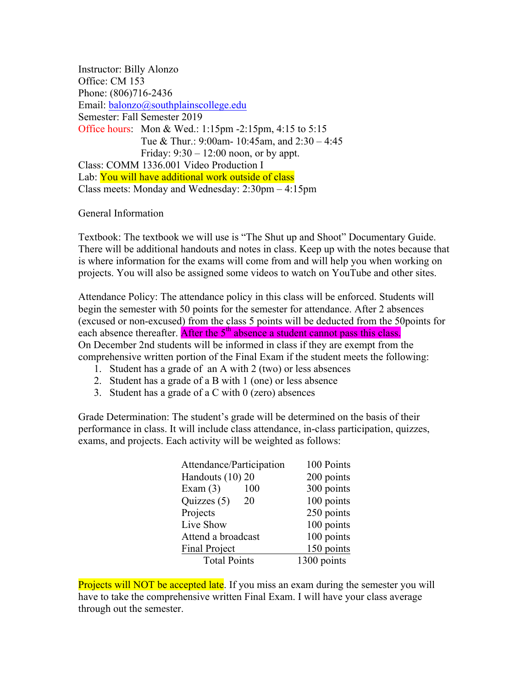Instructor: Billy Alonzo Office: CM 153 Phone: (806)716-2436 Email: balonzo@southplainscollege.edu Semester: Fall Semester 2019 Office hours: Mon & Wed.: 1:15pm -2:15pm, 4:15 to 5:15 Tue & Thur.: 9:00am- 10:45am, and 2:30 – 4:45 Friday:  $9:30 - 12:00$  noon, or by appt. Class: COMM 1336.001 Video Production I Lab: You will have additional work outside of class Class meets: Monday and Wednesday: 2:30pm – 4:15pm

## General Information

Textbook: The textbook we will use is "The Shut up and Shoot" Documentary Guide. There will be additional handouts and notes in class. Keep up with the notes because that is where information for the exams will come from and will help you when working on projects. You will also be assigned some videos to watch on YouTube and other sites.

Attendance Policy: The attendance policy in this class will be enforced. Students will begin the semester with 50 points for the semester for attendance. After 2 absences (excused or non-excused) from the class 5 points will be deducted from the 50points for each absence thereafter. After the  $5<sup>th</sup>$  absence a student cannot pass this class. On December 2nd students will be informed in class if they are exempt from the comprehensive written portion of the Final Exam if the student meets the following:

- 1. Student has a grade of an A with 2 (two) or less absences
- 2. Student has a grade of a B with 1 (one) or less absence
- 3. Student has a grade of a C with  $0$  (zero) absences

Grade Determination: The student's grade will be determined on the basis of their performance in class. It will include class attendance, in-class participation, quizzes, exams, and projects. Each activity will be weighted as follows:

| 100 Points  |
|-------------|
| 200 points  |
| 300 points  |
| 100 points  |
| 250 points  |
| 100 points  |
| 100 points  |
| 150 points  |
| 1300 points |
|             |

Projects will NOT be accepted late. If you miss an exam during the semester you will have to take the comprehensive written Final Exam. I will have your class average through out the semester.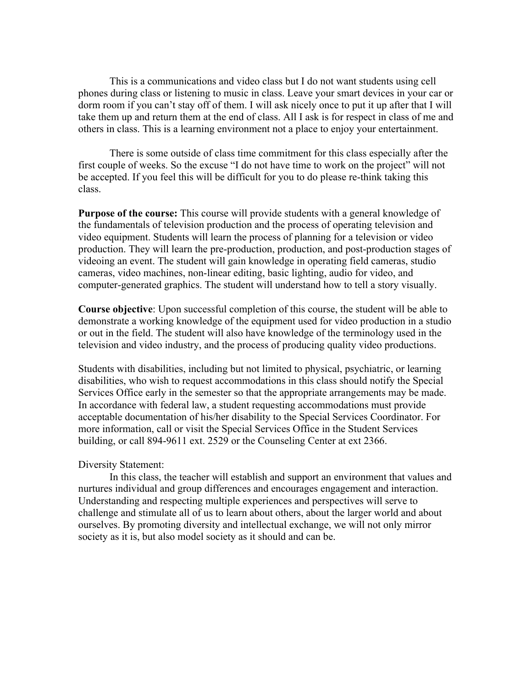This is a communications and video class but I do not want students using cell phones during class or listening to music in class. Leave your smart devices in your car or dorm room if you can't stay off of them. I will ask nicely once to put it up after that I will take them up and return them at the end of class. All I ask is for respect in class of me and others in class. This is a learning environment not a place to enjoy your entertainment.

There is some outside of class time commitment for this class especially after the first couple of weeks. So the excuse "I do not have time to work on the project" will not be accepted. If you feel this will be difficult for you to do please re-think taking this class.

**Purpose of the course:** This course will provide students with a general knowledge of the fundamentals of television production and the process of operating television and video equipment. Students will learn the process of planning for a television or video production. They will learn the pre-production, production, and post-production stages of videoing an event. The student will gain knowledge in operating field cameras, studio cameras, video machines, non-linear editing, basic lighting, audio for video, and computer-generated graphics. The student will understand how to tell a story visually.

**Course objective**: Upon successful completion of this course, the student will be able to demonstrate a working knowledge of the equipment used for video production in a studio or out in the field. The student will also have knowledge of the terminology used in the television and video industry, and the process of producing quality video productions.

Students with disabilities, including but not limited to physical, psychiatric, or learning disabilities, who wish to request accommodations in this class should notify the Special Services Office early in the semester so that the appropriate arrangements may be made. In accordance with federal law, a student requesting accommodations must provide acceptable documentation of his/her disability to the Special Services Coordinator. For more information, call or visit the Special Services Office in the Student Services building, or call 894-9611 ext. 2529 or the Counseling Center at ext 2366.

## Diversity Statement:

In this class, the teacher will establish and support an environment that values and nurtures individual and group differences and encourages engagement and interaction. Understanding and respecting multiple experiences and perspectives will serve to challenge and stimulate all of us to learn about others, about the larger world and about ourselves. By promoting diversity and intellectual exchange, we will not only mirror society as it is, but also model society as it should and can be.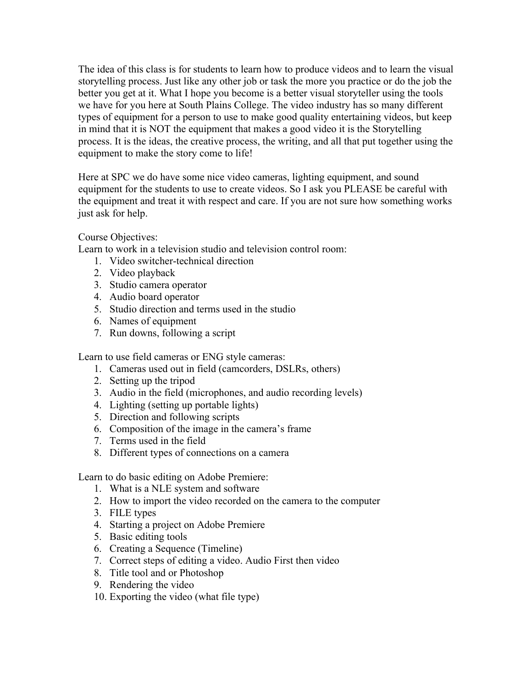The idea of this class is for students to learn how to produce videos and to learn the visual storytelling process. Just like any other job or task the more you practice or do the job the better you get at it. What I hope you become is a better visual storyteller using the tools we have for you here at South Plains College. The video industry has so many different types of equipment for a person to use to make good quality entertaining videos, but keep in mind that it is NOT the equipment that makes a good video it is the Storytelling process. It is the ideas, the creative process, the writing, and all that put together using the equipment to make the story come to life!

Here at SPC we do have some nice video cameras, lighting equipment, and sound equipment for the students to use to create videos. So I ask you PLEASE be careful with the equipment and treat it with respect and care. If you are not sure how something works just ask for help.

Course Objectives:

Learn to work in a television studio and television control room:

- 1. Video switcher-technical direction
- 2. Video playback
- 3. Studio camera operator
- 4. Audio board operator
- 5. Studio direction and terms used in the studio
- 6. Names of equipment
- 7. Run downs, following a script

Learn to use field cameras or ENG style cameras:

- 1. Cameras used out in field (camcorders, DSLRs, others)
- 2. Setting up the tripod
- 3. Audio in the field (microphones, and audio recording levels)
- 4. Lighting (setting up portable lights)
- 5. Direction and following scripts
- 6. Composition of the image in the camera's frame
- 7. Terms used in the field
- 8. Different types of connections on a camera

Learn to do basic editing on Adobe Premiere:

- 1. What is a NLE system and software
- 2. How to import the video recorded on the camera to the computer
- 3. FILE types
- 4. Starting a project on Adobe Premiere
- 5. Basic editing tools
- 6. Creating a Sequence (Timeline)
- 7. Correct steps of editing a video. Audio First then video
- 8. Title tool and or Photoshop
- 9. Rendering the video
- 10. Exporting the video (what file type)